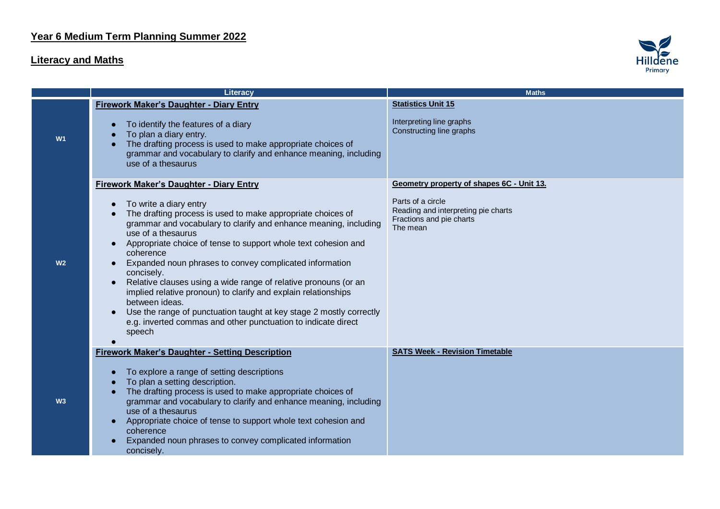## **Literacy and Maths**



|                | Literacy                                                                                                                                                                                                                                                                                                                                                                                                                                                                                                                                                                                                                                                      | <b>Maths</b>                                                                                     |
|----------------|---------------------------------------------------------------------------------------------------------------------------------------------------------------------------------------------------------------------------------------------------------------------------------------------------------------------------------------------------------------------------------------------------------------------------------------------------------------------------------------------------------------------------------------------------------------------------------------------------------------------------------------------------------------|--------------------------------------------------------------------------------------------------|
|                | <b>Firework Maker's Daughter - Diary Entry</b>                                                                                                                                                                                                                                                                                                                                                                                                                                                                                                                                                                                                                | <b>Statistics Unit 15</b>                                                                        |
| W <sub>1</sub> | To identify the features of a diary<br>$\bullet$<br>To plan a diary entry.<br>The drafting process is used to make appropriate choices of<br>grammar and vocabulary to clarify and enhance meaning, including<br>use of a thesaurus                                                                                                                                                                                                                                                                                                                                                                                                                           | Interpreting line graphs<br>Constructing line graphs                                             |
|                | <b>Firework Maker's Daughter - Diary Entry</b>                                                                                                                                                                                                                                                                                                                                                                                                                                                                                                                                                                                                                | Geometry property of shapes 6C - Unit 13.                                                        |
| W <sub>2</sub> | To write a diary entry<br>$\bullet$<br>The drafting process is used to make appropriate choices of<br>grammar and vocabulary to clarify and enhance meaning, including<br>use of a thesaurus<br>Appropriate choice of tense to support whole text cohesion and<br>coherence<br>Expanded noun phrases to convey complicated information<br>concisely.<br>Relative clauses using a wide range of relative pronouns (or an<br>implied relative pronoun) to clarify and explain relationships<br>between ideas.<br>Use the range of punctuation taught at key stage 2 mostly correctly<br>e.g. inverted commas and other punctuation to indicate direct<br>speech | Parts of a circle<br>Reading and interpreting pie charts<br>Fractions and pie charts<br>The mean |
|                | <b>Firework Maker's Daughter - Setting Description</b>                                                                                                                                                                                                                                                                                                                                                                                                                                                                                                                                                                                                        | <b>SATS Week - Revision Timetable</b>                                                            |
| W3             | To explore a range of setting descriptions<br>$\bullet$<br>To plan a setting description.<br>$\bullet$<br>The drafting process is used to make appropriate choices of<br>$\bullet$<br>grammar and vocabulary to clarify and enhance meaning, including<br>use of a thesaurus<br>Appropriate choice of tense to support whole text cohesion and<br>coherence<br>Expanded noun phrases to convey complicated information<br>concisely.                                                                                                                                                                                                                          |                                                                                                  |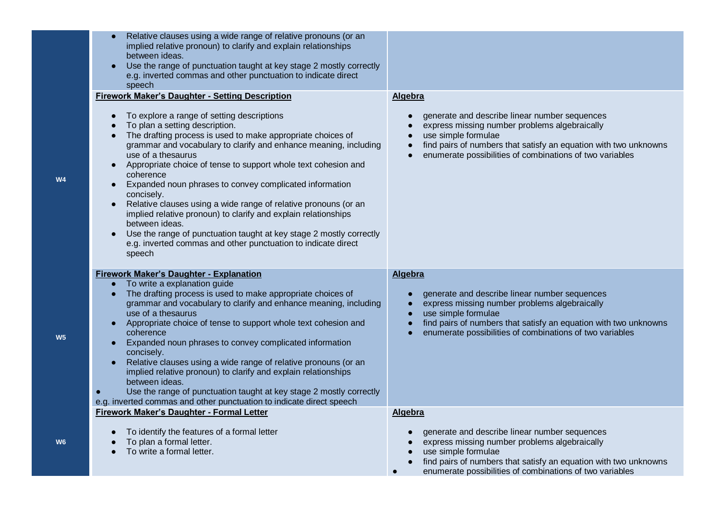| Relative clauses using a wide range of relative pronouns (or an<br>implied relative pronoun) to clarify and explain relationships<br>between ideas.<br>Use the range of punctuation taught at key stage 2 mostly correctly<br>e.g. inverted commas and other punctuation to indicate direct<br>speech                                                                                                                                                                                                                                                                                                                                                                                                                                         |                                                                                                                                                                                                                                                                    |
|-----------------------------------------------------------------------------------------------------------------------------------------------------------------------------------------------------------------------------------------------------------------------------------------------------------------------------------------------------------------------------------------------------------------------------------------------------------------------------------------------------------------------------------------------------------------------------------------------------------------------------------------------------------------------------------------------------------------------------------------------|--------------------------------------------------------------------------------------------------------------------------------------------------------------------------------------------------------------------------------------------------------------------|
| <b>Firework Maker's Daughter - Setting Description</b>                                                                                                                                                                                                                                                                                                                                                                                                                                                                                                                                                                                                                                                                                        | Algebra                                                                                                                                                                                                                                                            |
| To explore a range of setting descriptions<br>To plan a setting description.<br>The drafting process is used to make appropriate choices of<br>$\bullet$<br>grammar and vocabulary to clarify and enhance meaning, including<br>use of a thesaurus<br>Appropriate choice of tense to support whole text cohesion and<br>$\bullet$<br>coherence<br>Expanded noun phrases to convey complicated information<br>$\bullet$<br>concisely.<br>Relative clauses using a wide range of relative pronouns (or an<br>implied relative pronoun) to clarify and explain relationships<br>between ideas.<br>Use the range of punctuation taught at key stage 2 mostly correctly<br>e.g. inverted commas and other punctuation to indicate direct<br>speech | generate and describe linear number sequences<br>express missing number problems algebraically<br>use simple formulae<br>find pairs of numbers that satisfy an equation with two unknowns<br>enumerate possibilities of combinations of two variables<br>$\bullet$ |
| <b>Firework Maker's Daughter - Explanation</b>                                                                                                                                                                                                                                                                                                                                                                                                                                                                                                                                                                                                                                                                                                | <b>Algebra</b>                                                                                                                                                                                                                                                     |
| To write a explanation guide<br>$\bullet$<br>The drafting process is used to make appropriate choices of<br>$\bullet$<br>grammar and vocabulary to clarify and enhance meaning, including<br>use of a thesaurus<br>Appropriate choice of tense to support whole text cohesion and<br>$\bullet$<br>coherence<br>Expanded noun phrases to convey complicated information<br>concisely.<br>Relative clauses using a wide range of relative pronouns (or an<br>implied relative pronoun) to clarify and explain relationships<br>between ideas.<br>Use the range of punctuation taught at key stage 2 mostly correctly<br>e.g. inverted commas and other punctuation to indicate direct speech                                                    | generate and describe linear number sequences<br>express missing number problems algebraically<br>use simple formulae<br>find pairs of numbers that satisfy an equation with two unknowns<br>enumerate possibilities of combinations of two variables              |
| <b>Firework Maker's Daughter - Formal Letter</b>                                                                                                                                                                                                                                                                                                                                                                                                                                                                                                                                                                                                                                                                                              | <b>Algebra</b>                                                                                                                                                                                                                                                     |
| To identify the features of a formal letter<br>$\bullet$<br>To plan a formal letter.<br>To write a formal letter.                                                                                                                                                                                                                                                                                                                                                                                                                                                                                                                                                                                                                             | generate and describe linear number sequences<br>express missing number problems algebraically<br>use simple formulae<br>find pairs of numbers that satisfy an equation with two unknowns<br>enumerate possibilities of combinations of two variables<br>$\bullet$ |

**W4**

**W5**

**W6**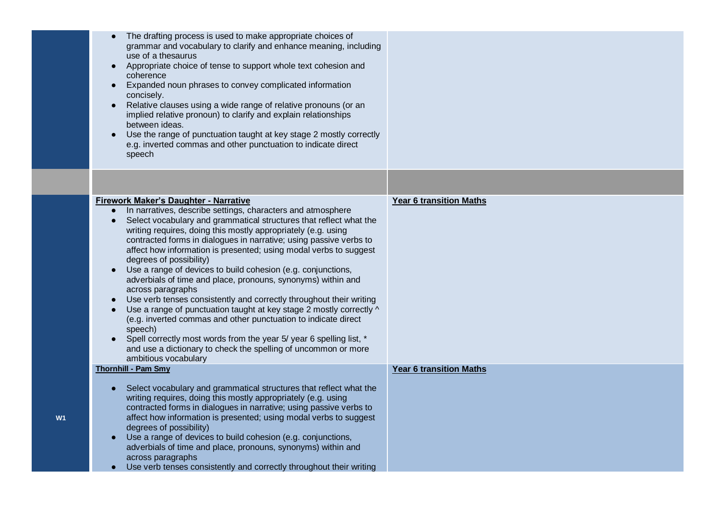|                | The drafting process is used to make appropriate choices of<br>grammar and vocabulary to clarify and enhance meaning, including<br>use of a thesaurus<br>Appropriate choice of tense to support whole text cohesion and<br>$\bullet$<br>coherence<br>Expanded noun phrases to convey complicated information<br>$\bullet$<br>concisely.<br>Relative clauses using a wide range of relative pronouns (or an<br>$\bullet$<br>implied relative pronoun) to clarify and explain relationships<br>between ideas.<br>Use the range of punctuation taught at key stage 2 mostly correctly<br>e.g. inverted commas and other punctuation to indicate direct<br>speech                                                                                                                                                                                                                                                                                                                   |                                |
|----------------|---------------------------------------------------------------------------------------------------------------------------------------------------------------------------------------------------------------------------------------------------------------------------------------------------------------------------------------------------------------------------------------------------------------------------------------------------------------------------------------------------------------------------------------------------------------------------------------------------------------------------------------------------------------------------------------------------------------------------------------------------------------------------------------------------------------------------------------------------------------------------------------------------------------------------------------------------------------------------------|--------------------------------|
|                |                                                                                                                                                                                                                                                                                                                                                                                                                                                                                                                                                                                                                                                                                                                                                                                                                                                                                                                                                                                 |                                |
|                | Firework Maker's Daughter - Narrative<br>In narratives, describe settings, characters and atmosphere<br>Select vocabulary and grammatical structures that reflect what the<br>writing requires, doing this mostly appropriately (e.g. using<br>contracted forms in dialogues in narrative; using passive verbs to<br>affect how information is presented; using modal verbs to suggest<br>degrees of possibility)<br>Use a range of devices to build cohesion (e.g. conjunctions,<br>$\bullet$<br>adverbials of time and place, pronouns, synonyms) within and<br>across paragraphs<br>Use verb tenses consistently and correctly throughout their writing<br>Use a range of punctuation taught at key stage 2 mostly correctly ^<br>(e.g. inverted commas and other punctuation to indicate direct<br>speech)<br>Spell correctly most words from the year 5/ year 6 spelling list, *<br>and use a dictionary to check the spelling of uncommon or more<br>ambitious vocabulary | <b>Year 6 transition Maths</b> |
| W <sub>1</sub> | <b>Thornhill - Pam Smy</b><br>Select vocabulary and grammatical structures that reflect what the<br>writing requires, doing this mostly appropriately (e.g. using<br>contracted forms in dialogues in narrative; using passive verbs to<br>affect how information is presented; using modal verbs to suggest<br>degrees of possibility)<br>Use a range of devices to build cohesion (e.g. conjunctions,<br>$\bullet$<br>adverbials of time and place, pronouns, synonyms) within and<br>across paragraphs<br>Use verb tenses consistently and correctly throughout their writing                                                                                                                                                                                                                                                                                                                                                                                                | <b>Year 6 transition Maths</b> |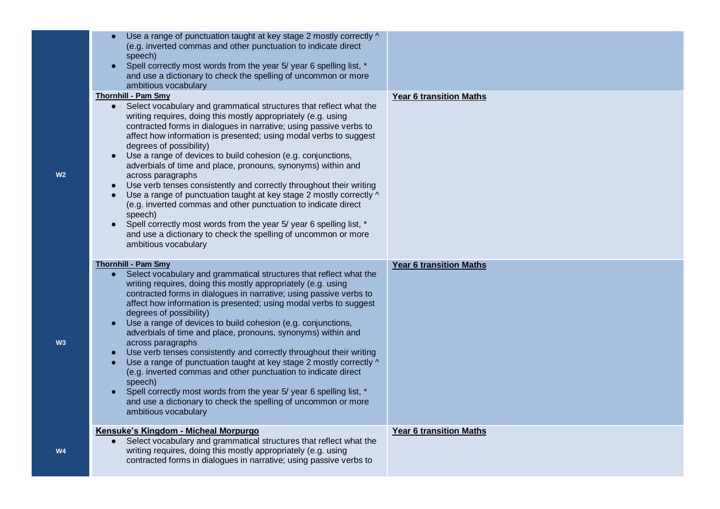| Use a range of punctuation taught at key stage 2 mostly correctly ^<br>(e.g. inverted commas and other punctuation to indicate direct<br>speech)<br>Spell correctly most words from the year 5/ year 6 spelling list, *<br>and use a dictionary to check the spelling of uncommon or more<br>ambitious vocabulary                                                                                                                                                                                                                                                                                                                                                                                                                                                                                                                                                                                                  |                                |
|--------------------------------------------------------------------------------------------------------------------------------------------------------------------------------------------------------------------------------------------------------------------------------------------------------------------------------------------------------------------------------------------------------------------------------------------------------------------------------------------------------------------------------------------------------------------------------------------------------------------------------------------------------------------------------------------------------------------------------------------------------------------------------------------------------------------------------------------------------------------------------------------------------------------|--------------------------------|
| <b>Thornhill - Pam Smy</b><br>Select vocabulary and grammatical structures that reflect what the<br>writing requires, doing this mostly appropriately (e.g. using<br>contracted forms in dialogues in narrative; using passive verbs to<br>affect how information is presented; using modal verbs to suggest<br>degrees of possibility)<br>Use a range of devices to build cohesion (e.g. conjunctions,<br>$\bullet$<br>adverbials of time and place, pronouns, synonyms) within and<br>across paragraphs<br>Use verb tenses consistently and correctly throughout their writing<br>$\bullet$<br>Use a range of punctuation taught at key stage 2 mostly correctly ^<br>(e.g. inverted commas and other punctuation to indicate direct<br>speech)<br>Spell correctly most words from the year 5/ year 6 spelling list, *<br>and use a dictionary to check the spelling of uncommon or more<br>ambitious vocabulary | <b>Year 6 transition Maths</b> |
| <b>Thornhill - Pam Smy</b><br>Select vocabulary and grammatical structures that reflect what the<br>$\bullet$<br>writing requires, doing this mostly appropriately (e.g. using<br>contracted forms in dialogues in narrative; using passive verbs to<br>affect how information is presented; using modal verbs to suggest<br>degrees of possibility)<br>Use a range of devices to build cohesion (e.g. conjunctions,<br>adverbials of time and place, pronouns, synonyms) within and<br>across paragraphs<br>Use verb tenses consistently and correctly throughout their writing<br>Use a range of punctuation taught at key stage 2 mostly correctly ^<br>(e.g. inverted commas and other punctuation to indicate direct<br>speech)<br>Spell correctly most words from the year 5/ year 6 spelling list, *<br>and use a dictionary to check the spelling of uncommon or more<br>ambitious vocabulary              | <b>Year 6 transition Maths</b> |
| Kensuke's Kingdom - Micheal Morpurgo<br>Select vocabulary and grammatical structures that reflect what the<br>writing requires, doing this mostly appropriately (e.g. using<br>contracted forms in dialogues in narrative; using passive verbs to                                                                                                                                                                                                                                                                                                                                                                                                                                                                                                                                                                                                                                                                  | <b>Year 6 transition Maths</b> |

**W2**

**W3**

**W4**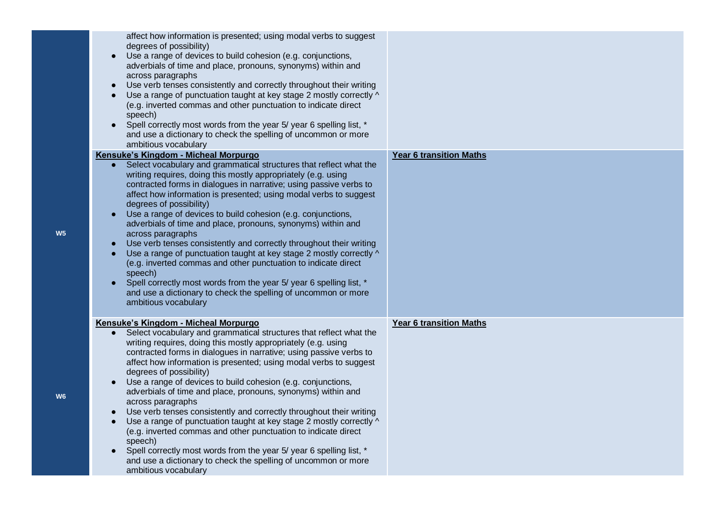| affect how information is presented; using modal verbs to suggest<br>degrees of possibility)<br>Use a range of devices to build cohesion (e.g. conjunctions,<br>$\bullet$<br>adverbials of time and place, pronouns, synonyms) within and<br>across paragraphs<br>Use verb tenses consistently and correctly throughout their writing<br>$\bullet$<br>Use a range of punctuation taught at key stage 2 mostly correctly ^<br>(e.g. inverted commas and other punctuation to indicate direct<br>speech)<br>Spell correctly most words from the year 5/ year 6 spelling list, *<br>and use a dictionary to check the spelling of uncommon or more<br>ambitious vocabulary |                                |
|-------------------------------------------------------------------------------------------------------------------------------------------------------------------------------------------------------------------------------------------------------------------------------------------------------------------------------------------------------------------------------------------------------------------------------------------------------------------------------------------------------------------------------------------------------------------------------------------------------------------------------------------------------------------------|--------------------------------|
| Kensuke's Kingdom - Micheal Morpurgo<br>Select vocabulary and grammatical structures that reflect what the<br>writing requires, doing this mostly appropriately (e.g. using                                                                                                                                                                                                                                                                                                                                                                                                                                                                                             | <b>Year 6 transition Maths</b> |
| contracted forms in dialogues in narrative; using passive verbs to<br>affect how information is presented; using modal verbs to suggest<br>degrees of possibility)                                                                                                                                                                                                                                                                                                                                                                                                                                                                                                      |                                |
| Use a range of devices to build cohesion (e.g. conjunctions,<br>$\bullet$<br>adverbials of time and place, pronouns, synonyms) within and<br>across paragraphs                                                                                                                                                                                                                                                                                                                                                                                                                                                                                                          |                                |
| Use verb tenses consistently and correctly throughout their writing<br>Use a range of punctuation taught at key stage 2 mostly correctly ^<br>(e.g. inverted commas and other punctuation to indicate direct<br>speech)                                                                                                                                                                                                                                                                                                                                                                                                                                                 |                                |
| Spell correctly most words from the year 5/ year 6 spelling list, *<br>and use a dictionary to check the spelling of uncommon or more<br>ambitious vocabulary                                                                                                                                                                                                                                                                                                                                                                                                                                                                                                           |                                |
| Kensuke's Kingdom - Micheal Morpurgo<br>Select vocabulary and grammatical structures that reflect what the<br>writing requires, doing this mostly appropriately (e.g. using<br>contracted forms in dialogues in narrative; using passive verbs to<br>affect how information is presented; using modal verbs to suggest<br>degrees of possibility)                                                                                                                                                                                                                                                                                                                       | <b>Year 6 transition Maths</b> |
| Use a range of devices to build cohesion (e.g. conjunctions,<br>$\bullet$<br>adverbials of time and place, pronouns, synonyms) within and<br>across paragraphs                                                                                                                                                                                                                                                                                                                                                                                                                                                                                                          |                                |
| Use verb tenses consistently and correctly throughout their writing<br>$\bullet$<br>Use a range of punctuation taught at key stage 2 mostly correctly ^<br>(e.g. inverted commas and other punctuation to indicate direct<br>speech)                                                                                                                                                                                                                                                                                                                                                                                                                                    |                                |
| Spell correctly most words from the year 5/ year 6 spelling list, *<br>and use a dictionary to check the spelling of uncommon or more<br>ambitious vocabulary                                                                                                                                                                                                                                                                                                                                                                                                                                                                                                           |                                |

**W5**

**W6**